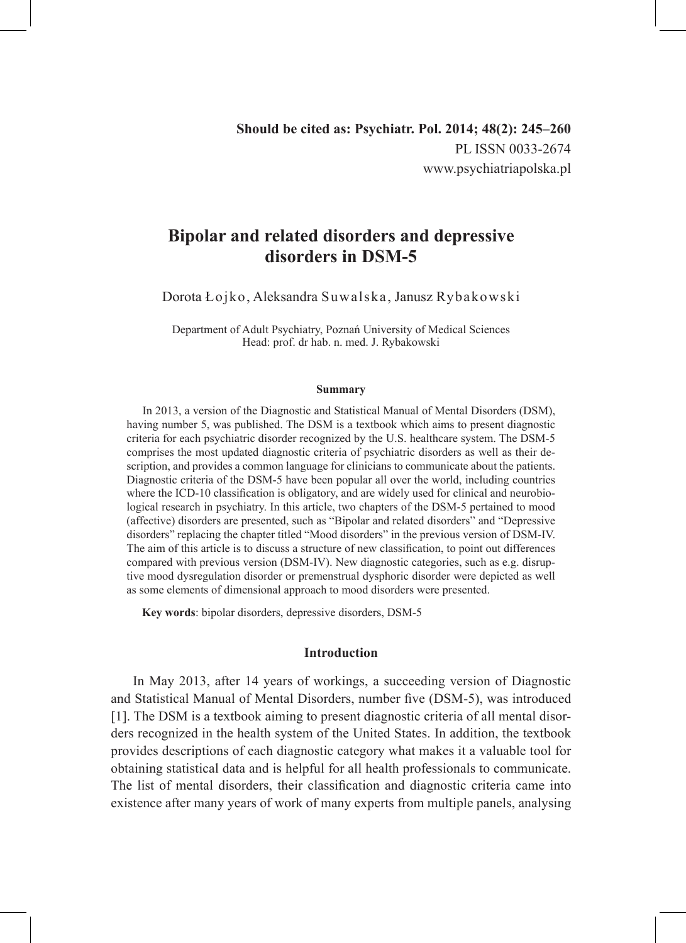# **Bipolar and related disorders and depressive disorders in DSM-5**

Dorota Łojko, Aleksandra Suwalska, Janusz Rybakowski

Department of Adult Psychiatry, Poznań University of Medical Sciences Head: prof. dr hab. n. med. J. Rybakowski

#### **Summary**

In 2013, a version of the Diagnostic and Statistical Manual of Mental Disorders (DSM), having number 5, was published. The DSM is a textbook which aims to present diagnostic criteria for each psychiatric disorder recognized by the U.S. healthcare system. The DSM-5 comprises the most updated diagnostic criteria of psychiatric disorders as well as their description, and provides a common language for clinicians to communicate about the patients. Diagnostic criteria of the DSM-5 have been popular all over the world, including countries where the ICD-10 classification is obligatory, and are widely used for clinical and neurobiological research in psychiatry. In this article, two chapters of the DSM-5 pertained to mood (affective) disorders are presented, such as "Bipolar and related disorders" and "Depressive disorders" replacing the chapter titled "Mood disorders" in the previous version of DSM-IV. The aim of this article is to discuss a structure of new classification, to point out differences compared with previous version (DSM-IV). New diagnostic categories, such as e.g. disruptive mood dysregulation disorder or premenstrual dysphoric disorder were depicted as well as some elements of dimensional approach to mood disorders were presented.

**Key words**: bipolar disorders, depressive disorders, DSM-5

#### **Introduction**

In May 2013, after 14 years of workings, a succeeding version of Diagnostic and Statistical Manual of Mental Disorders, number five (DSM-5), was introduced [1]. The DSM is a textbook aiming to present diagnostic criteria of all mental disorders recognized in the health system of the United States. In addition, the textbook provides descriptions of each diagnostic category what makes it a valuable tool for obtaining statistical data and is helpful for all health professionals to communicate. The list of mental disorders, their classification and diagnostic criteria came into existence after many years of work of many experts from multiple panels, analysing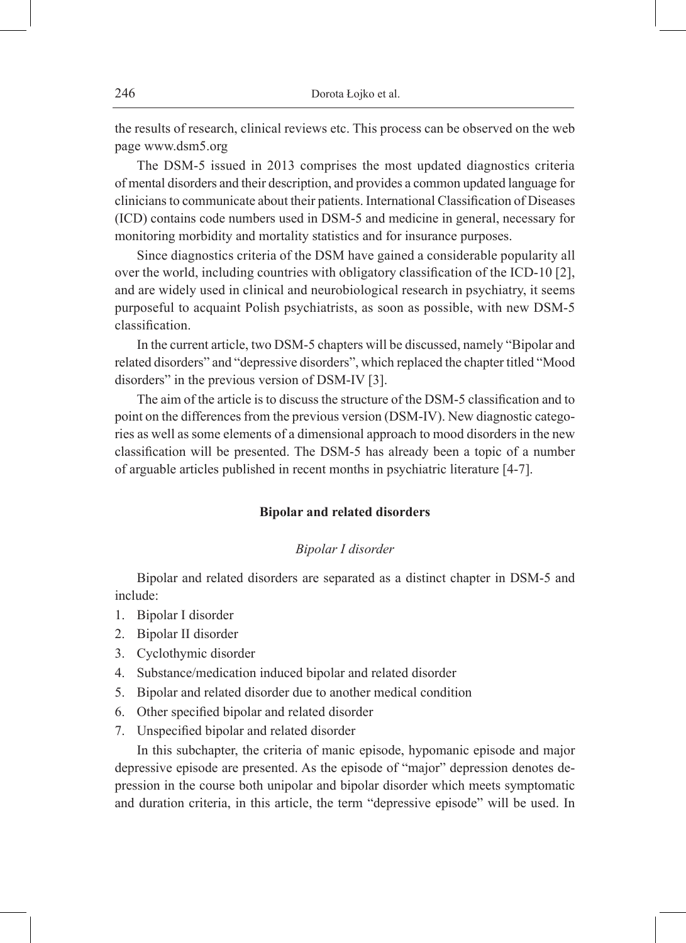the results of research, clinical reviews etc. This process can be observed on the web page www.dsm5.org

The DSM-5 issued in 2013 comprises the most updated diagnostics criteria of mental disorders and their description, and provides a common updated language for clinicians to communicate about their patients. International Classification of Diseases (ICD) contains code numbers used in DSM-5 and medicine in general, necessary for monitoring morbidity and mortality statistics and for insurance purposes.

Since diagnostics criteria of the DSM have gained a considerable popularity all over the world, including countries with obligatory classification of the ICD-10 [2], and are widely used in clinical and neurobiological research in psychiatry, it seems purposeful to acquaint Polish psychiatrists, as soon as possible, with new DSM-5 classification.

In the current article, two DSM-5 chapters will be discussed, namely "Bipolar and related disorders" and "depressive disorders", which replaced the chapter titled "Mood disorders" in the previous version of DSM-IV [3].

The aim of the article is to discuss the structure of the DSM-5 classification and to point on the differences from the previous version (DSM-IV). New diagnostic categories as well as some elements of a dimensional approach to mood disorders in the new classification will be presented. The DSM-5 has already been a topic of a number of arguable articles published in recent months in psychiatric literature [4-7].

### **Bipolar and related disorders**

#### *Bipolar I disorder*

Bipolar and related disorders are separated as a distinct chapter in DSM-5 and include:

- 1. Bipolar I disorder
- 2. Bipolar II disorder
- 3. Cyclothymic disorder
- 4. Substance/medication induced bipolar and related disorder
- 5. Bipolar and related disorder due to another medical condition
- 6. Other specified bipolar and related disorder
- 7. Unspecified bipolar and related disorder

In this subchapter, the criteria of manic episode, hypomanic episode and major depressive episode are presented. As the episode of "major" depression denotes depression in the course both unipolar and bipolar disorder which meets symptomatic and duration criteria, in this article, the term "depressive episode" will be used. In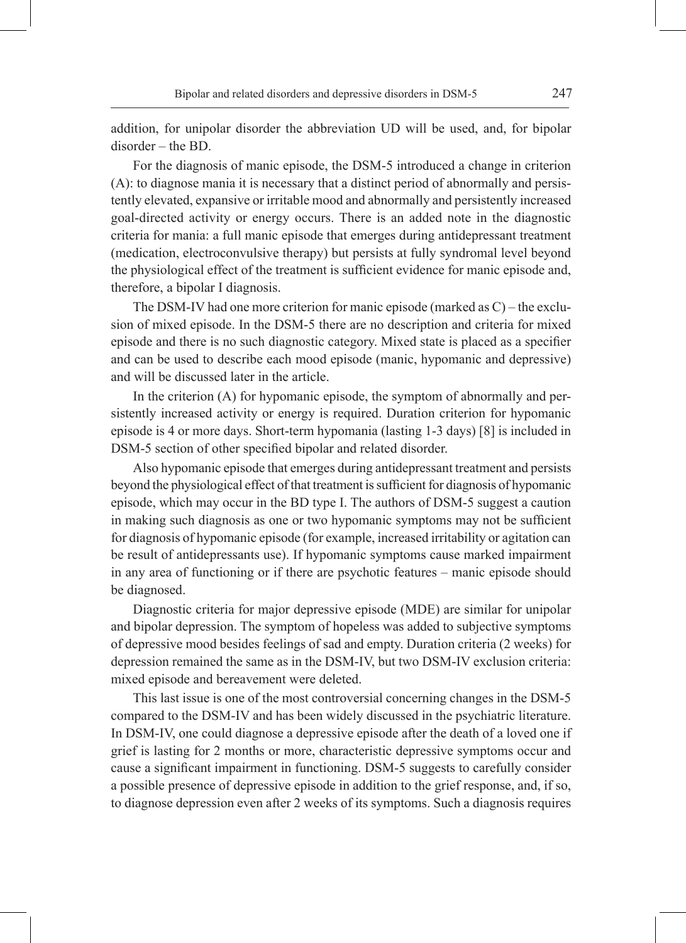addition, for unipolar disorder the abbreviation UD will be used, and, for bipolar disorder – the BD.

For the diagnosis of manic episode, the DSM-5 introduced a change in criterion (A): to diagnose mania it is necessary that a distinct period of abnormally and persistently elevated, expansive or irritable mood and abnormally and persistently increased goal-directed activity or energy occurs. There is an added note in the diagnostic criteria for mania: a full manic episode that emerges during antidepressant treatment (medication, electroconvulsive therapy) but persists at fully syndromal level beyond the physiological effect of the treatment is sufficient evidence for manic episode and, therefore, a bipolar I diagnosis.

The DSM-IV had one more criterion for manic episode (marked as C) – the exclusion of mixed episode. In the DSM-5 there are no description and criteria for mixed episode and there is no such diagnostic category. Mixed state is placed as a specifier and can be used to describe each mood episode (manic, hypomanic and depressive) and will be discussed later in the article.

In the criterion (A) for hypomanic episode, the symptom of abnormally and persistently increased activity or energy is required. Duration criterion for hypomanic episode is 4 or more days. Short-term hypomania (lasting 1-3 days) [8] is included in DSM-5 section of other specified bipolar and related disorder.

Also hypomanic episode that emerges during antidepressant treatment and persists beyond the physiological effect of that treatment is sufficient for diagnosis of hypomanic episode, which may occur in the BD type I. The authors of DSM-5 suggest a caution in making such diagnosis as one or two hypomanic symptoms may not be sufficient for diagnosis of hypomanic episode (for example, increased irritability or agitation can be result of antidepressants use). If hypomanic symptoms cause marked impairment in any area of functioning or if there are psychotic features – manic episode should be diagnosed.

Diagnostic criteria for major depressive episode (MDE) are similar for unipolar and bipolar depression. The symptom of hopeless was added to subjective symptoms of depressive mood besides feelings of sad and empty. Duration criteria (2 weeks) for depression remained the same as in the DSM-IV, but two DSM-IV exclusion criteria: mixed episode and bereavement were deleted.

This last issue is one of the most controversial concerning changes in the DSM-5 compared to the DSM-IV and has been widely discussed in the psychiatric literature. In DSM-IV, one could diagnose a depressive episode after the death of a loved one if grief is lasting for 2 months or more, characteristic depressive symptoms occur and cause a significant impairment in functioning. DSM-5 suggests to carefully consider a possible presence of depressive episode in addition to the grief response, and, if so, to diagnose depression even after 2 weeks of its symptoms. Such a diagnosis requires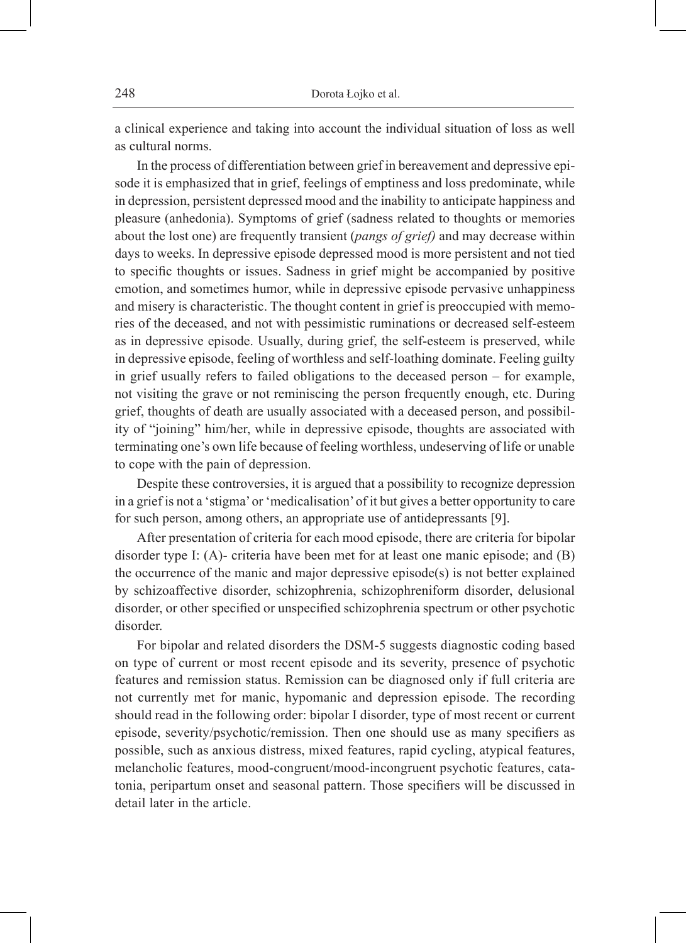a clinical experience and taking into account the individual situation of loss as well as cultural norms.

In the process of differentiation between grief in bereavement and depressive episode it is emphasized that in grief, feelings of emptiness and loss predominate, while in depression, persistent depressed mood and the inability to anticipate happiness and pleasure (anhedonia). Symptoms of grief (sadness related to thoughts or memories about the lost one) are frequently transient (*pangs of grief)* and may decrease within days to weeks. In depressive episode depressed mood is more persistent and not tied to specific thoughts or issues. Sadness in grief might be accompanied by positive emotion, and sometimes humor, while in depressive episode pervasive unhappiness and misery is characteristic. The thought content in grief is preoccupied with memories of the deceased, and not with pessimistic ruminations or decreased self-esteem as in depressive episode. Usually, during grief, the self-esteem is preserved, while in depressive episode, feeling of worthless and self-loathing dominate. Feeling guilty in grief usually refers to failed obligations to the deceased person – for example, not visiting the grave or not reminiscing the person frequently enough, etc. During grief, thoughts of death are usually associated with a deceased person, and possibility of "joining" him/her, while in depressive episode, thoughts are associated with terminating one's own life because of feeling worthless, undeserving of life or unable to cope with the pain of depression.

Despite these controversies, it is argued that a possibility to recognize depression in a grief is not a 'stigma' or 'medicalisation' of it but gives a better opportunity to care for such person, among others, an appropriate use of antidepressants [9].

After presentation of criteria for each mood episode, there are criteria for bipolar disorder type I: (A)- criteria have been met for at least one manic episode; and (B) the occurrence of the manic and major depressive episode(s) is not better explained by schizoaffective disorder, schizophrenia, schizophreniform disorder, delusional disorder, or other specified or unspecified schizophrenia spectrum or other psychotic disorder.

For bipolar and related disorders the DSM-5 suggests diagnostic coding based on type of current or most recent episode and its severity, presence of psychotic features and remission status. Remission can be diagnosed only if full criteria are not currently met for manic, hypomanic and depression episode. The recording should read in the following order: bipolar I disorder, type of most recent or current episode, severity/psychotic/remission. Then one should use as many specifiers as possible, such as anxious distress, mixed features, rapid cycling, atypical features, melancholic features, mood-congruent/mood-incongruent psychotic features, catatonia, peripartum onset and seasonal pattern. Those specifiers will be discussed in detail later in the article.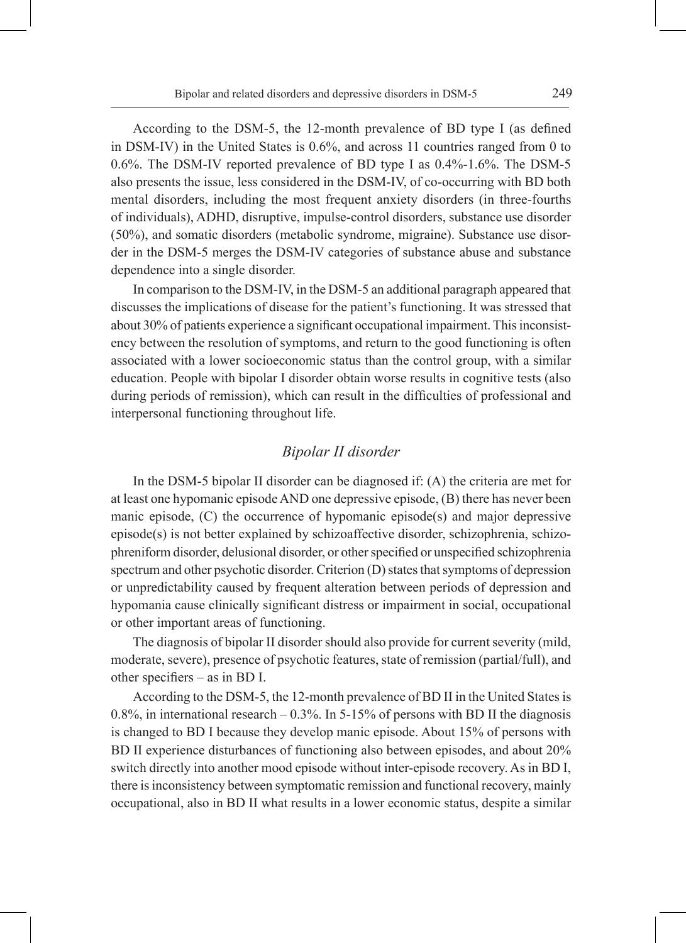According to the DSM-5, the 12-month prevalence of BD type I (as defined in DSM-IV) in the United States is 0.6%, and across 11 countries ranged from 0 to 0.6%. The DSM-IV reported prevalence of BD type I as 0.4%-1.6%. The DSM-5 also presents the issue, less considered in the DSM-IV, of co-occurring with BD both mental disorders, including the most frequent anxiety disorders (in three-fourths of individuals), ADHD, disruptive, impulse-control disorders, substance use disorder (50%), and somatic disorders (metabolic syndrome, migraine). Substance use disorder in the DSM-5 merges the DSM-IV categories of substance abuse and substance dependence into a single disorder.

In comparison to the DSM-IV, in the DSM-5 an additional paragraph appeared that discusses the implications of disease for the patient's functioning. It was stressed that about 30% of patients experience a significant occupational impairment. This inconsistency between the resolution of symptoms, and return to the good functioning is often associated with a lower socioeconomic status than the control group, with a similar education. People with bipolar I disorder obtain worse results in cognitive tests (also during periods of remission), which can result in the difficulties of professional and interpersonal functioning throughout life.

# *Bipolar II disorder*

In the DSM-5 bipolar II disorder can be diagnosed if: (A) the criteria are met for at least one hypomanic episode AND one depressive episode, (B) there has never been manic episode, (C) the occurrence of hypomanic episode(s) and major depressive episode(s) is not better explained by schizoaffective disorder, schizophrenia, schizophreniform disorder, delusional disorder, or other specified or unspecified schizophrenia spectrum and other psychotic disorder. Criterion (D) states that symptoms of depression or unpredictability caused by frequent alteration between periods of depression and hypomania cause clinically significant distress or impairment in social, occupational or other important areas of functioning.

The diagnosis of bipolar II disorder should also provide for current severity (mild, moderate, severe), presence of psychotic features, state of remission (partial/full), and other specifiers – as in BD I.

According to the DSM-5, the 12-month prevalence of BD II in the United States is 0.8%, in international research  $-$  0.3%. In 5-15% of persons with BD II the diagnosis is changed to BD I because they develop manic episode. About 15% of persons with BD II experience disturbances of functioning also between episodes, and about 20% switch directly into another mood episode without inter-episode recovery. As in BD I, there is inconsistency between symptomatic remission and functional recovery, mainly occupational, also in BD II what results in a lower economic status, despite a similar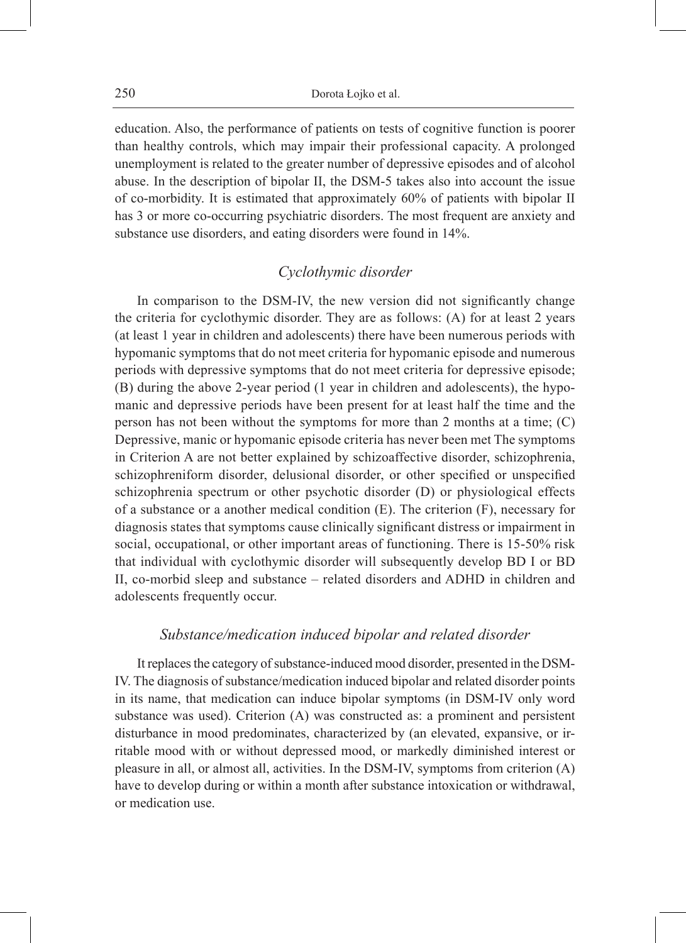education. Also, the performance of patients on tests of cognitive function is poorer than healthy controls, which may impair their professional capacity. A prolonged unemployment is related to the greater number of depressive episodes and of alcohol abuse. In the description of bipolar II, the DSM-5 takes also into account the issue of co-morbidity. It is estimated that approximately 60% of patients with bipolar II has 3 or more co-occurring psychiatric disorders. The most frequent are anxiety and substance use disorders, and eating disorders were found in 14%.

# *Cyclothymic disorder*

In comparison to the DSM-IV, the new version did not significantly change the criteria for cyclothymic disorder. They are as follows: (A) for at least 2 years (at least 1 year in children and adolescents) there have been numerous periods with hypomanic symptoms that do not meet criteria for hypomanic episode and numerous periods with depressive symptoms that do not meet criteria for depressive episode; (B) during the above 2-year period (1 year in children and adolescents), the hypomanic and depressive periods have been present for at least half the time and the person has not been without the symptoms for more than 2 months at a time; (C) Depressive, manic or hypomanic episode criteria has never been met The symptoms in Criterion A are not better explained by schizoaffective disorder, schizophrenia, schizophreniform disorder, delusional disorder, or other specified or unspecified schizophrenia spectrum or other psychotic disorder (D) or physiological effects of a substance or a another medical condition (E). The criterion (F), necessary for diagnosis states that symptoms cause clinically significant distress or impairment in social, occupational, or other important areas of functioning. There is 15-50% risk that individual with cyclothymic disorder will subsequently develop BD I or BD II, co-morbid sleep and substance – related disorders and ADHD in children and adolescents frequently occur.

### *Substance/medication induced bipolar and related disorder*

It replaces the category of substance-induced mood disorder, presented in the DSM-IV. The diagnosis of substance/medication induced bipolar and related disorder points in its name, that medication can induce bipolar symptoms (in DSM-IV only word substance was used). Criterion (A) was constructed as: a prominent and persistent disturbance in mood predominates, characterized by (an elevated, expansive, or irritable mood with or without depressed mood, or markedly diminished interest or pleasure in all, or almost all, activities. In the DSM-IV, symptoms from criterion (A) have to develop during or within a month after substance intoxication or withdrawal, or medication use.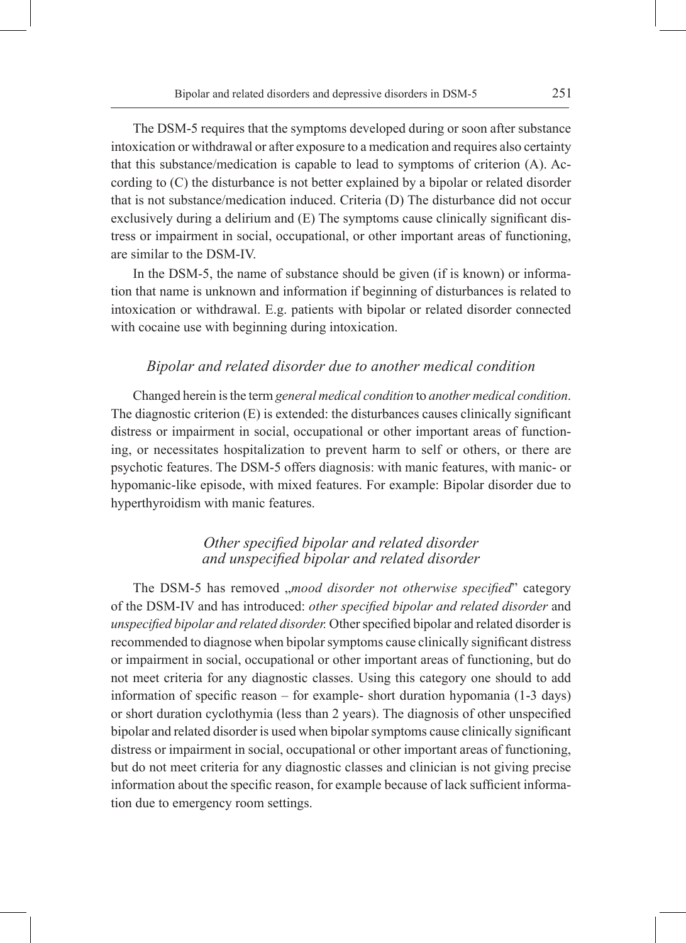The DSM-5 requires that the symptoms developed during or soon after substance intoxication or withdrawal or after exposure to a medication and requires also certainty that this substance/medication is capable to lead to symptoms of criterion (A). According to (C) the disturbance is not better explained by a bipolar or related disorder that is not substance/medication induced. Criteria (D) The disturbance did not occur exclusively during a delirium and (E) The symptoms cause clinically significant distress or impairment in social, occupational, or other important areas of functioning, are similar to the DSM-IV.

In the DSM-5, the name of substance should be given (if is known) or information that name is unknown and information if beginning of disturbances is related to intoxication or withdrawal. E.g. patients with bipolar or related disorder connected with cocaine use with beginning during intoxication.

### *Bipolar and related disorder due to another medical condition*

Changed herein is the term *general medical condition* to *another medical condition*. The diagnostic criterion (E) is extended: the disturbances causes clinically significant distress or impairment in social, occupational or other important areas of functioning, or necessitates hospitalization to prevent harm to self or others, or there are psychotic features. The DSM-5 offers diagnosis: with manic features, with manic- or hypomanic-like episode, with mixed features. For example: Bipolar disorder due to hyperthyroidism with manic features.

# *Other specified bipolar and related disorder and unspecified bipolar and related disorder*

The DSM-5 has removed *, mood disorder not otherwise specified*" category of the DSM-IV and has introduced: *other specified bipolar and related disorder* and *unspecified bipolar and related disorder.* Other specified bipolar and related disorder is recommended to diagnose when bipolar symptoms cause clinically significant distress or impairment in social, occupational or other important areas of functioning, but do not meet criteria for any diagnostic classes. Using this category one should to add information of specific reason – for example- short duration hypomania (1-3 days) or short duration cyclothymia (less than 2 years). The diagnosis of other unspecified bipolar and related disorder is used when bipolar symptoms cause clinically significant distress or impairment in social, occupational or other important areas of functioning, but do not meet criteria for any diagnostic classes and clinician is not giving precise information about the specific reason, for example because of lack sufficient information due to emergency room settings.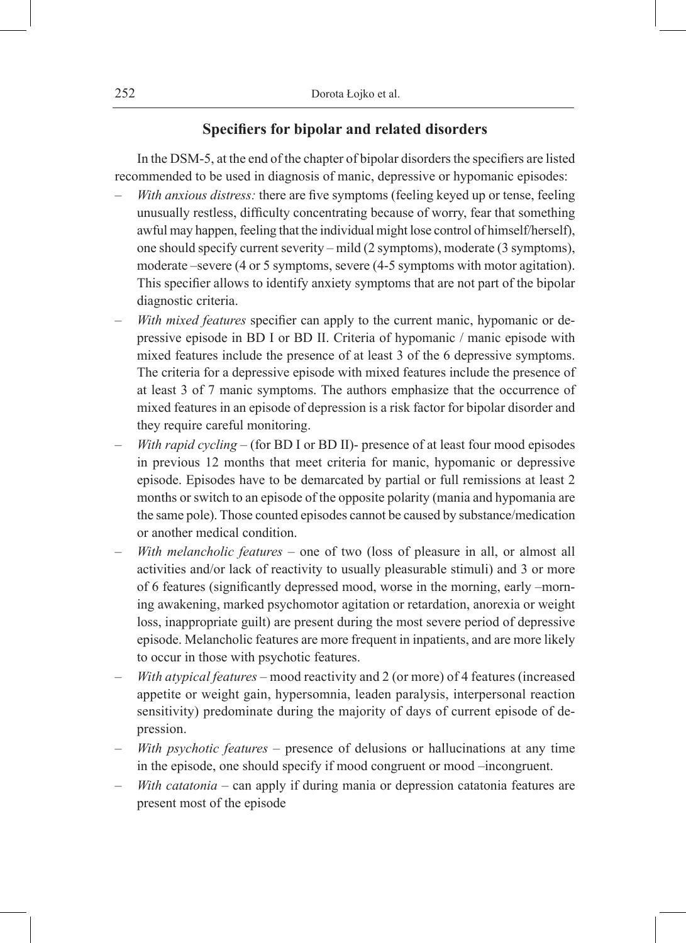# **Specifiers for bipolar and related disorders**

In the DSM-5, at the end of the chapter of bipolar disorders the specifiers are listed recommended to be used in diagnosis of manic, depressive or hypomanic episodes:

- *With anxious distress:* there are five symptoms (feeling keyed up or tense, feeling unusually restless, difficulty concentrating because of worry, fear that something awful may happen, feeling that the individual might lose control of himself/herself), one should specify current severity – mild (2 symptoms), moderate (3 symptoms), moderate –severe (4 or 5 symptoms, severe (4-5 symptoms with motor agitation). This specifier allows to identify anxiety symptoms that are not part of the bipolar diagnostic criteria.
- *With mixed features* specifier can apply to the current manic, hypomanic or depressive episode in BD I or BD II. Criteria of hypomanic / manic episode with mixed features include the presence of at least 3 of the 6 depressive symptoms. The criteria for a depressive episode with mixed features include the presence of at least 3 of 7 manic symptoms. The authors emphasize that the occurrence of mixed features in an episode of depression is a risk factor for bipolar disorder and they require careful monitoring.
- *With rapid cycling*  (for BD I or BD II)- presence of at least four mood episodes in previous 12 months that meet criteria for manic, hypomanic or depressive episode. Episodes have to be demarcated by partial or full remissions at least 2 months or switch to an episode of the opposite polarity (mania and hypomania are the same pole). Those counted episodes cannot be caused by substance/medication or another medical condition.
- *With melancholic features* one of two (loss of pleasure in all, or almost all activities and/or lack of reactivity to usually pleasurable stimuli) and 3 or more of 6 features (significantly depressed mood, worse in the morning, early –morning awakening, marked psychomotor agitation or retardation, anorexia or weight loss, inappropriate guilt) are present during the most severe period of depressive episode. Melancholic features are more frequent in inpatients, and are more likely to occur in those with psychotic features.
- *With atypical features –* mood reactivity and 2 (or more) of 4 features (increased appetite or weight gain, hypersomnia, leaden paralysis, interpersonal reaction sensitivity) predominate during the majority of days of current episode of depression.
- *With psychotic features –* presence of delusions or hallucinations at any time in the episode, one should specify if mood congruent or mood –incongruent.
- *With catatonia* can apply if during mania or depression catatonia features are present most of the episode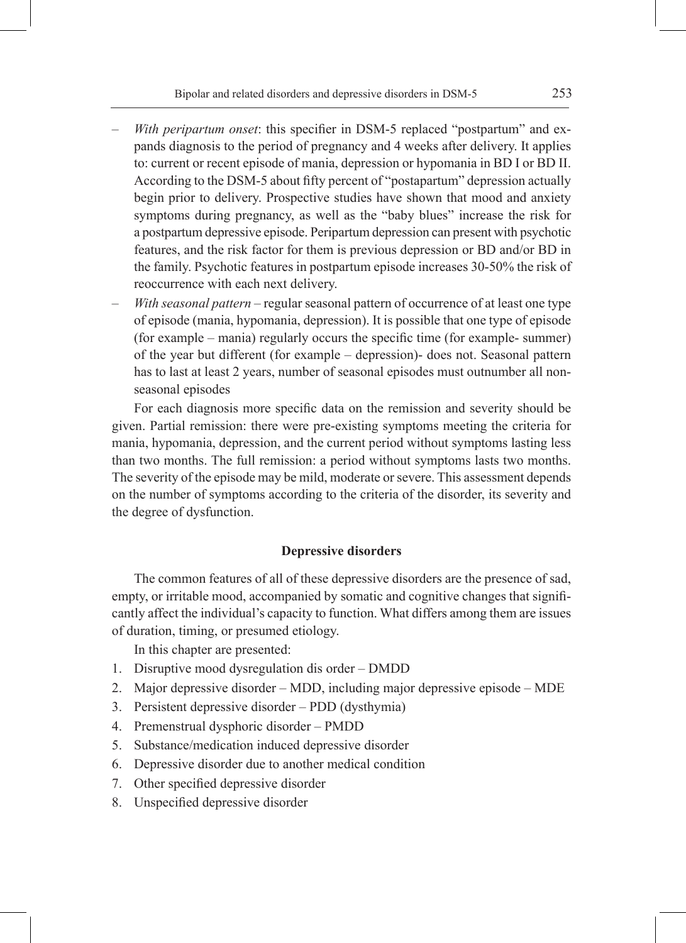- *With peripartum onset*: this specifier in DSM-5 replaced "postpartum" and expands diagnosis to the period of pregnancy and 4 weeks after delivery. It applies to: current or recent episode of mania, depression or hypomania in BD I or BD II. According to the DSM-5 about fifty percent of "postapartum" depression actually begin prior to delivery. Prospective studies have shown that mood and anxiety symptoms during pregnancy, as well as the "baby blues" increase the risk for a postpartum depressive episode. Peripartum depression can present with psychotic features, and the risk factor for them is previous depression or BD and/or BD in the family. Psychotic features in postpartum episode increases 30-50% the risk of reoccurrence with each next delivery.
- *With seasonal pattern*  regular seasonal pattern of occurrence of at least one type of episode (mania, hypomania, depression). It is possible that one type of episode (for example – mania) regularly occurs the specific time (for example- summer) of the year but different (for example – depression)- does not. Seasonal pattern has to last at least 2 years, number of seasonal episodes must outnumber all nonseasonal episodes

For each diagnosis more specific data on the remission and severity should be given. Partial remission: there were pre-existing symptoms meeting the criteria for mania, hypomania, depression, and the current period without symptoms lasting less than two months. The full remission: a period without symptoms lasts two months. The severity of the episode may be mild, moderate or severe. This assessment depends on the number of symptoms according to the criteria of the disorder, its severity and the degree of dysfunction.

### **Depressive disorders**

The common features of all of these depressive disorders are the presence of sad, empty, or irritable mood, accompanied by somatic and cognitive changes that significantly affect the individual's capacity to function. What differs among them are issues of duration, timing, or presumed etiology.

In this chapter are presented:

- 1. Disruptive mood dysregulation dis order DMDD
- 2. Major depressive disorder MDD, including major depressive episode MDE
- 3. Persistent depressive disorder PDD (dysthymia)
- 4. Premenstrual dysphoric disorder PMDD
- 5. Substance/medication induced depressive disorder
- 6. Depressive disorder due to another medical condition
- 7. Other specified depressive disorder
- 8. Unspecified depressive disorder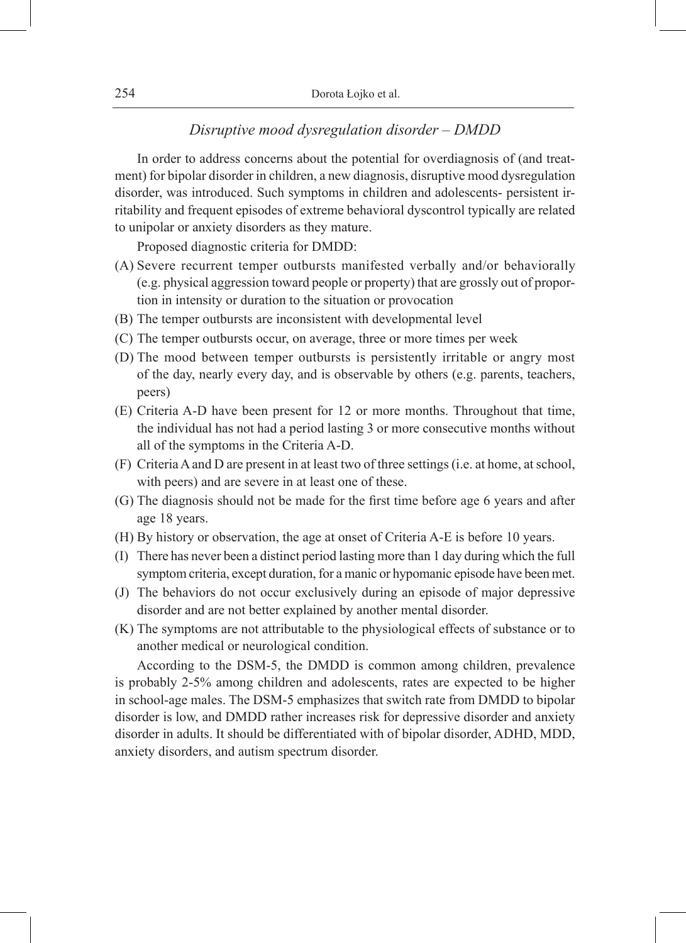| Dorota Łojko et al. |
|---------------------|

# *Disruptive mood dysregulation disorder – DMDD*

In order to address concerns about the potential for overdiagnosis of (and treatment) for bipolar disorder in children, a new diagnosis, disruptive mood dysregulation disorder, was introduced. Such symptoms in children and adolescents- persistent irritability and frequent episodes of extreme behavioral dyscontrol typically are related to unipolar or anxiety disorders as they mature.

Proposed diagnostic criteria for DMDD:

- (A) Severe recurrent temper outbursts manifested verbally and/or behaviorally (e.g. physical aggression toward people or property) that are grossly out of proportion in intensity or duration to the situation or provocation
- (B) The temper outbursts are inconsistent with developmental level
- (C) The temper outbursts occur, on average, three or more times per week
- (D) The mood between temper outbursts is persistently irritable or angry most of the day, nearly every day, and is observable by others (e.g. parents, teachers, peers)
- (E) Criteria A-D have been present for 12 or more months. Throughout that time, the individual has not had a period lasting 3 or more consecutive months without all of the symptoms in the Criteria A-D.
- (F) Criteria A and D are present in at least two of three settings (i.e. at home, at school, with peers) and are severe in at least one of these.
- (G) The diagnosis should not be made for the first time before age 6 years and after age 18 years.
- (H) By history or observation, the age at onset of Criteria A-E is before 10 years.
- (I) There has never been a distinct period lasting more than 1 day during which the full symptom criteria, except duration, for a manic or hypomanic episode have been met.
- (J) The behaviors do not occur exclusively during an episode of major depressive disorder and are not better explained by another mental disorder.
- (K) The symptoms are not attributable to the physiological effects of substance or to another medical or neurological condition.

According to the DSM-5, the DMDD is common among children, prevalence is probably 2-5% among children and adolescents, rates are expected to be higher in school-age males. The DSM-5 emphasizes that switch rate from DMDD to bipolar disorder is low, and DMDD rather increases risk for depressive disorder and anxiety disorder in adults. It should be differentiated with of bipolar disorder, ADHD, MDD, anxiety disorders, and autism spectrum disorder.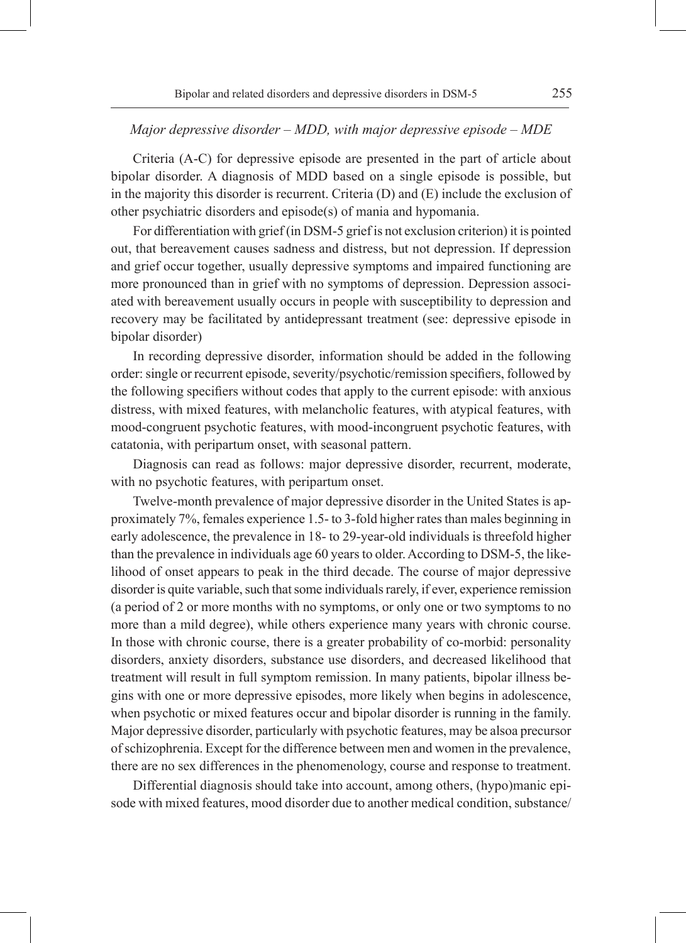### *Major depressive disorder – MDD, with major depressive episode – MDE*

Criteria (A-C) for depressive episode are presented in the part of article about bipolar disorder. A diagnosis of MDD based on a single episode is possible, but in the majority this disorder is recurrent. Criteria (D) and (E) include the exclusion of other psychiatric disorders and episode(s) of mania and hypomania.

For differentiation with grief (in DSM-5 grief is not exclusion criterion) it is pointed out, that bereavement causes sadness and distress, but not depression. If depression and grief occur together, usually depressive symptoms and impaired functioning are more pronounced than in grief with no symptoms of depression. Depression associated with bereavement usually occurs in people with susceptibility to depression and recovery may be facilitated by antidepressant treatment (see: depressive episode in bipolar disorder)

In recording depressive disorder, information should be added in the following order: single or recurrent episode, severity/psychotic/remission specifiers, followed by the following specifiers without codes that apply to the current episode: with anxious distress, with mixed features, with melancholic features, with atypical features, with mood-congruent psychotic features, with mood-incongruent psychotic features, with catatonia, with peripartum onset, with seasonal pattern.

Diagnosis can read as follows: major depressive disorder, recurrent, moderate, with no psychotic features, with peripartum onset.

Twelve-month prevalence of major depressive disorder in the United States is approximately 7%, females experience 1.5- to 3-fold higher rates than males beginning in early adolescence, the prevalence in 18- to 29-year-old individuals is threefold higher than the prevalence in individuals age 60 years to older. According to DSM-5, the likelihood of onset appears to peak in the third decade. The course of major depressive disorder is quite variable, such that some individuals rarely, if ever, experience remission (a period of 2 or more months with no symptoms, or only one or two symptoms to no more than a mild degree), while others experience many years with chronic course. In those with chronic course, there is a greater probability of co-morbid: personality disorders, anxiety disorders, substance use disorders, and decreased likelihood that treatment will result in full symptom remission. In many patients, bipolar illness begins with one or more depressive episodes, more likely when begins in adolescence, when psychotic or mixed features occur and bipolar disorder is running in the family. Major depressive disorder, particularly with psychotic features, may be alsoa precursor of schizophrenia. Except for the difference between men and women in the prevalence, there are no sex differences in the phenomenology, course and response to treatment.

Differential diagnosis should take into account, among others, (hypo)manic episode with mixed features, mood disorder due to another medical condition, substance/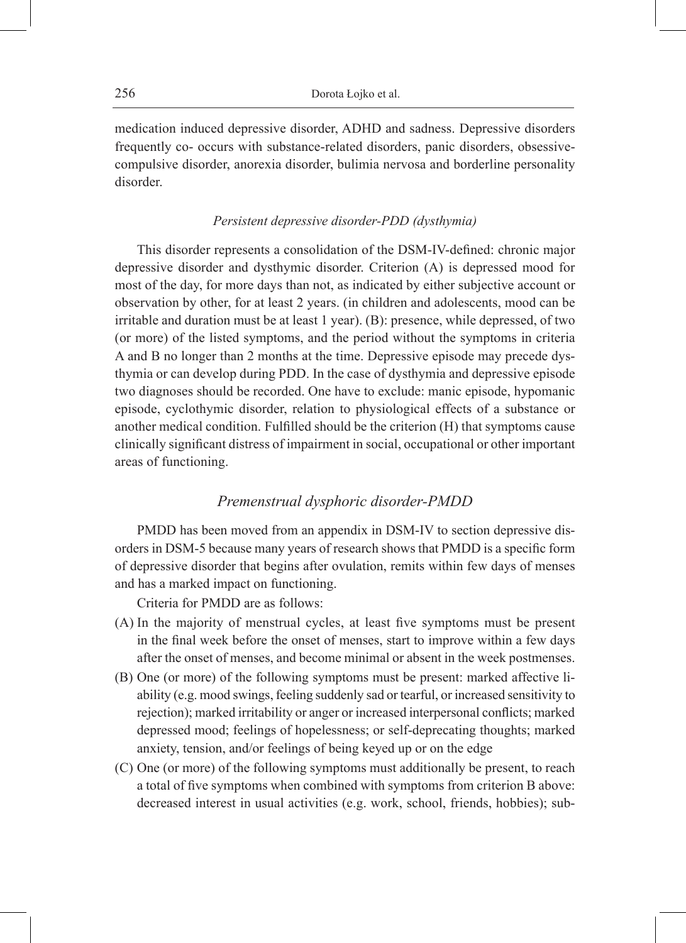medication induced depressive disorder, ADHD and sadness. Depressive disorders frequently co- occurs with substance-related disorders, panic disorders, obsessivecompulsive disorder, anorexia disorder, bulimia nervosa and borderline personality disorder.

### *Persistent depressive disorder-PDD (dysthymia)*

This disorder represents a consolidation of the DSM-IV-defined: chronic major depressive disorder and dysthymic disorder. Criterion (A) is depressed mood for most of the day, for more days than not, as indicated by either subjective account or observation by other, for at least 2 years. (in children and adolescents, mood can be irritable and duration must be at least 1 year). (B): presence, while depressed, of two (or more) of the listed symptoms, and the period without the symptoms in criteria A and B no longer than 2 months at the time. Depressive episode may precede dysthymia or can develop during PDD. In the case of dysthymia and depressive episode two diagnoses should be recorded. One have to exclude: manic episode, hypomanic episode, cyclothymic disorder, relation to physiological effects of a substance or another medical condition. Fulfilled should be the criterion (H) that symptoms cause clinically significant distress of impairment in social, occupational or other important areas of functioning.

### *Premenstrual dysphoric disorder-PMDD*

PMDD has been moved from an appendix in DSM-IV to section depressive disorders in DSM-5 because many years of research shows that PMDD is a specific form of depressive disorder that begins after ovulation, remits within few days of menses and has a marked impact on functioning.

Criteria for PMDD are as follows:

- (A) In the majority of menstrual cycles, at least five symptoms must be present in the final week before the onset of menses, start to improve within a few days after the onset of menses, and become minimal or absent in the week postmenses.
- (B) One (or more) of the following symptoms must be present: marked affective liability (e.g. mood swings, feeling suddenly sad or tearful, or increased sensitivity to rejection); marked irritability or anger or increased interpersonal conflicts; marked depressed mood; feelings of hopelessness; or self-deprecating thoughts; marked anxiety, tension, and/or feelings of being keyed up or on the edge
- (C) One (or more) of the following symptoms must additionally be present, to reach a total of five symptoms when combined with symptoms from criterion B above: decreased interest in usual activities (e.g. work, school, friends, hobbies); sub-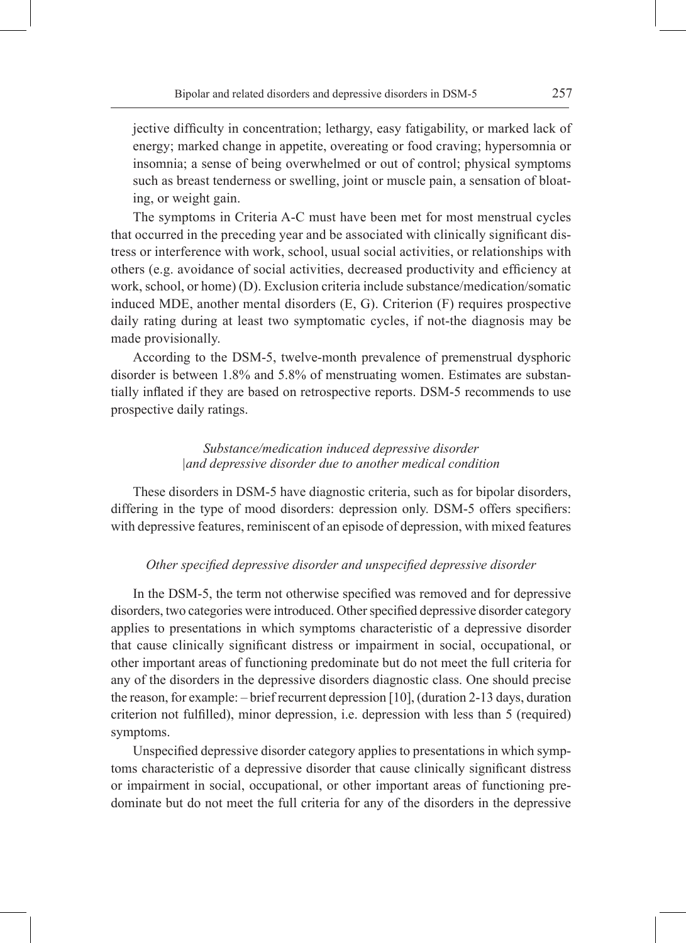jective difficulty in concentration; lethargy, easy fatigability, or marked lack of energy; marked change in appetite, overeating or food craving; hypersomnia or insomnia; a sense of being overwhelmed or out of control; physical symptoms such as breast tenderness or swelling, joint or muscle pain, a sensation of bloating, or weight gain.

The symptoms in Criteria A-C must have been met for most menstrual cycles that occurred in the preceding year and be associated with clinically significant distress or interference with work, school, usual social activities, or relationships with others (e.g. avoidance of social activities, decreased productivity and efficiency at work, school, or home) (D). Exclusion criteria include substance/medication/somatic induced MDE, another mental disorders (E, G). Criterion (F) requires prospective daily rating during at least two symptomatic cycles, if not-the diagnosis may be made provisionally.

According to the DSM-5, twelve-month prevalence of premenstrual dysphoric disorder is between 1.8% and 5.8% of menstruating women. Estimates are substantially inflated if they are based on retrospective reports. DSM-5 recommends to use prospective daily ratings.

### *Substance/medication induced depressive disorder |and depressive disorder due to another medical condition*

These disorders in DSM-5 have diagnostic criteria, such as for bipolar disorders, differing in the type of mood disorders: depression only. DSM-5 offers specifiers: with depressive features, reminiscent of an episode of depression, with mixed features

#### *Other specified depressive disorder and unspecified depressive disorder*

In the DSM-5, the term not otherwise specified was removed and for depressive disorders, two categories were introduced. Other specified depressive disorder category applies to presentations in which symptoms characteristic of a depressive disorder that cause clinically significant distress or impairment in social, occupational, or other important areas of functioning predominate but do not meet the full criteria for any of the disorders in the depressive disorders diagnostic class. One should precise the reason, for example: – brief recurrent depression [10], (duration 2-13 days, duration criterion not fulfilled), minor depression, i.e. depression with less than 5 (required) symptoms.

Unspecified depressive disorder category applies to presentations in which symptoms characteristic of a depressive disorder that cause clinically significant distress or impairment in social, occupational, or other important areas of functioning predominate but do not meet the full criteria for any of the disorders in the depressive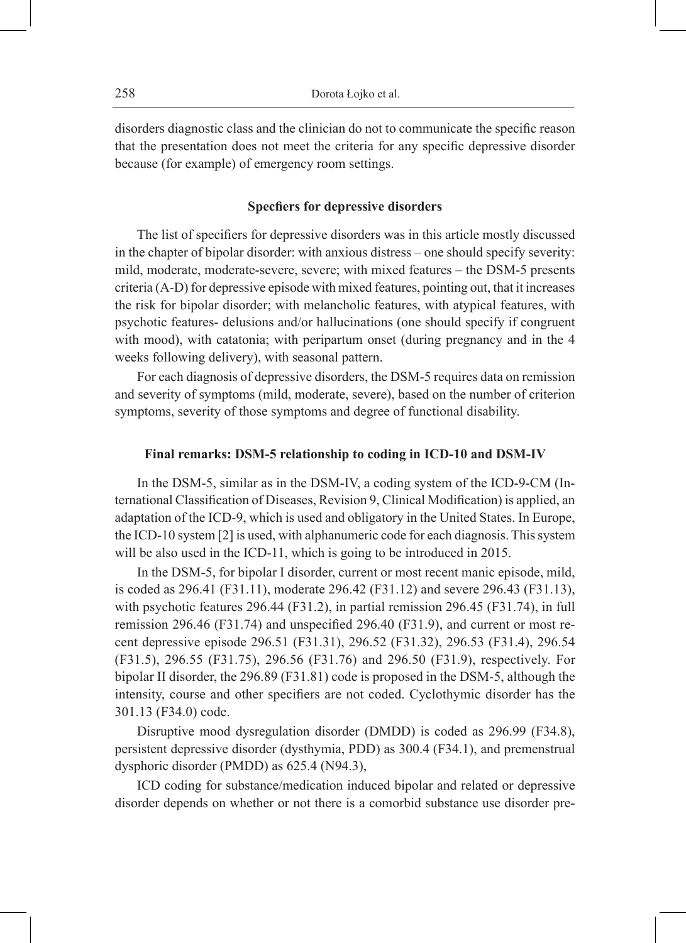disorders diagnostic class and the clinician do not to communicate the specific reason that the presentation does not meet the criteria for any specific depressive disorder because (for example) of emergency room settings.

#### **Specfiers for depressive disorders**

The list of specifiers for depressive disorders was in this article mostly discussed in the chapter of bipolar disorder: with anxious distress – one should specify severity: mild, moderate, moderate-severe, severe; with mixed features – the DSM-5 presents criteria (A-D) for depressive episode with mixed features, pointing out, that it increases the risk for bipolar disorder; with melancholic features, with atypical features, with psychotic features- delusions and/or hallucinations (one should specify if congruent with mood), with catatonia; with peripartum onset (during pregnancy and in the 4 weeks following delivery), with seasonal pattern.

For each diagnosis of depressive disorders, the DSM-5 requires data on remission and severity of symptoms (mild, moderate, severe), based on the number of criterion symptoms, severity of those symptoms and degree of functional disability.

#### **Final remarks: DSM-5 relationship to coding in ICD-10 and DSM-IV**

In the DSM-5, similar as in the DSM-IV, a coding system of the ICD-9-CM (International Classification of Diseases, Revision 9, Clinical Modification) is applied, an adaptation of the ICD-9, which is used and obligatory in the United States. In Europe, the ICD-10 system [2] is used, with alphanumeric code for each diagnosis. This system will be also used in the ICD-11, which is going to be introduced in 2015.

In the DSM-5, for bipolar I disorder, current or most recent manic episode, mild, is coded as 296.41 (F31.11), moderate 296.42 (F31.12) and severe 296.43 (F31.13), with psychotic features 296.44 (F31.2), in partial remission 296.45 (F31.74), in full remission 296.46 (F31.74) and unspecified 296.40 (F31.9), and current or most recent depressive episode 296.51 (F31.31), 296.52 (F31.32), 296.53 (F31.4), 296.54 (F31.5), 296.55 (F31.75), 296.56 (F31.76) and 296.50 (F31.9), respectively. For bipolar II disorder, the 296.89 (F31.81) code is proposed in the DSM-5, although the intensity, course and other specifiers are not coded. Cyclothymic disorder has the 301.13 (F34.0) code.

Disruptive mood dysregulation disorder (DMDD) is coded as 296.99 (F34.8), persistent depressive disorder (dysthymia, PDD) as 300.4 (F34.1), and premenstrual dysphoric disorder (PMDD) as 625.4 (N94.3),

ICD coding for substance/medication induced bipolar and related or depressive disorder depends on whether or not there is a comorbid substance use disorder pre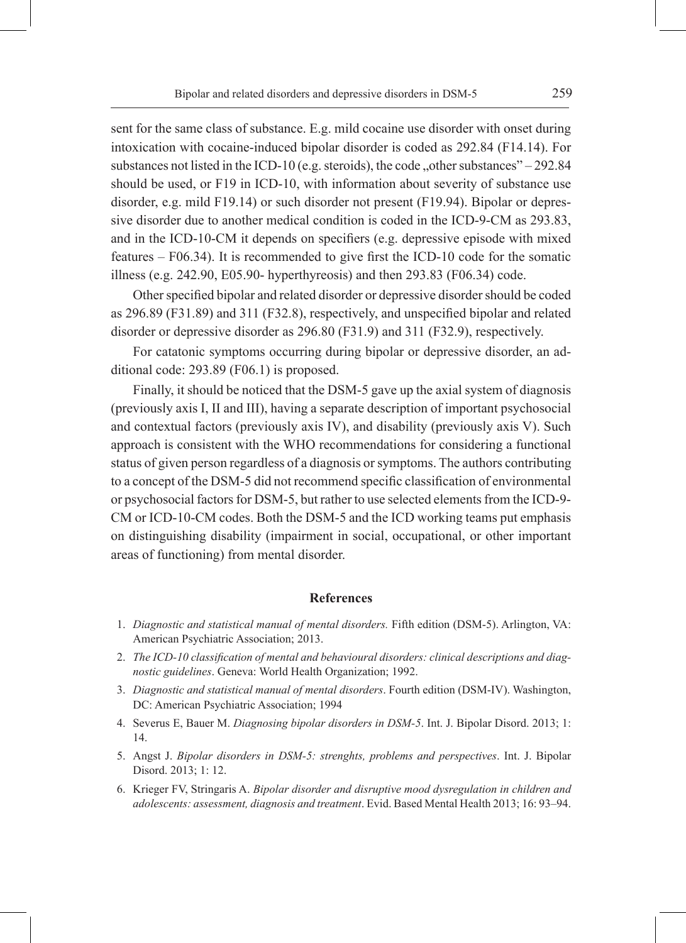sent for the same class of substance. E.g. mild cocaine use disorder with onset during intoxication with cocaine-induced bipolar disorder is coded as 292.84 (F14.14). For substances not listed in the ICD-10 (e.g. steroids), the code "other substances" – 292.84 should be used, or F19 in ICD-10, with information about severity of substance use disorder, e.g. mild F19.14) or such disorder not present (F19.94). Bipolar or depressive disorder due to another medical condition is coded in the ICD-9-CM as 293.83, and in the ICD-10-CM it depends on specifiers (e.g. depressive episode with mixed features – F06.34). It is recommended to give first the ICD-10 code for the somatic illness (e.g. 242.90, E05.90- hyperthyreosis) and then 293.83 (F06.34) code.

Other specified bipolar and related disorder or depressive disorder should be coded as 296.89 (F31.89) and 311 (F32.8), respectively, and unspecified bipolar and related disorder or depressive disorder as 296.80 (F31.9) and 311 (F32.9), respectively.

For catatonic symptoms occurring during bipolar or depressive disorder, an additional code: 293.89 (F06.1) is proposed.

Finally, it should be noticed that the DSM-5 gave up the axial system of diagnosis (previously axis I, II and III), having a separate description of important psychosocial and contextual factors (previously axis IV), and disability (previously axis V). Such approach is consistent with the WHO recommendations for considering a functional status of given person regardless of a diagnosis or symptoms. The authors contributing to a concept of the DSM-5 did not recommend specific classification of environmental or psychosocial factors for DSM-5, but rather to use selected elements from the ICD-9- CM or ICD-10-CM codes. Both the DSM-5 and the ICD working teams put emphasis on distinguishing disability (impairment in social, occupational, or other important areas of functioning) from mental disorder.

#### **References**

- 1. *Diagnostic and statistical manual of mental disorders.* Fifth edition (DSM-5). Arlington, VA: American Psychiatric Association; 2013.
- 2. *The ICD-10 classification of mental and behavioural disorders: clinical descriptions and diagnostic guidelines*. Geneva: World Health Organization; 1992.
- 3. *Diagnostic and statistical manual of mental disorders*. Fourth edition (DSM-IV). Washington, DC: American Psychiatric Association; 1994
- 4. Severus E, Bauer M. *Diagnosing bipolar disorders in DSM-5*. Int. J. Bipolar Disord. 2013; 1: 14.
- 5. Angst J. *Bipolar disorders in DSM-5: strenghts, problems and perspectives*. Int. J. Bipolar Disord. 2013; 1: 12.
- 6. Krieger FV, Stringaris A. *Bipolar disorder and disruptive mood dysregulation in children and adolescents: assessment, diagnosis and treatment*. Evid. Based Mental Health 2013; 16: 93–94.